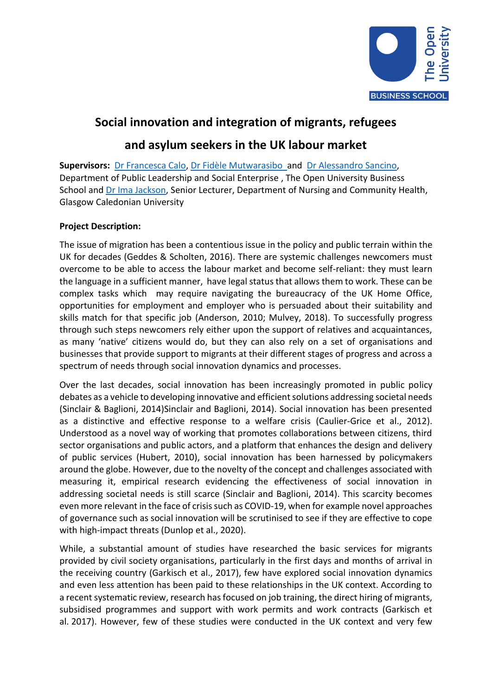

# **Social innovation and integration of migrants, refugees**

# **and asylum seekers in the UK labour market**

**Supervisors:** [Dr Francesca Calo,](https://business-school.open.ac.uk/people/fc3548) Dr [Fidèle Mutwarasibo](https://business-school.open.ac.uk/people/fm5289) and [Dr Alessandro Sancino,](https://business-school.open.ac.uk/people/as33839) Department of Public Leadership and Social Enterprise , The Open University Business School and [Dr Ima Jackson,](https://www.gcu.ac.uk/hls/staff/drimajackson/) Senior Lecturer, Department of Nursing and Community Health, Glasgow Caledonian University

## **Project Description:**

The issue of migration has been a contentious issue in the policy and public terrain within the UK for decades (Geddes & Scholten, 2016). There are systemic challenges newcomers must overcome to be able to access the labour market and become self-reliant: they must learn the language in a sufficient manner, have legal status that allows them to work. These can be complex tasks which may require navigating the bureaucracy of the UK Home Office, opportunities for employment and employer who is persuaded about their suitability and skills match for that specific job (Anderson, 2010; Mulvey, 2018). To successfully progress through such steps newcomers rely either upon the support of relatives and acquaintances, as many 'native' citizens would do, but they can also rely on a set of organisations and businesses that provide support to migrants at their different stages of progress and across a spectrum of needs through social innovation dynamics and processes.

Over the last decades, social innovation has been increasingly promoted in public policy debates as a vehicle to developing innovative and efficient solutions addressing societal needs (Sinclair & Baglioni, 2014)Sinclair and Baglioni, 2014). Social innovation has been presented as a distinctive and effective response to a welfare crisis (Caulier-Grice et al., 2012). Understood as a novel way of working that promotes collaborations between citizens, third sector organisations and public actors, and a platform that enhances the design and delivery of public services (Hubert, 2010), social innovation has been harnessed by policymakers around the globe. However, due to the novelty of the concept and challenges associated with measuring it, empirical research evidencing the effectiveness of social innovation in addressing societal needs is still scarce (Sinclair and Baglioni, 2014). This scarcity becomes even more relevant in the face of crisis such as COVID-19, when for example novel approaches of governance such as social innovation will be scrutinised to see if they are effective to cope with high-impact threats (Dunlop et al., 2020).

While, a substantial amount of studies have researched the basic services for migrants provided by civil society organisations, particularly in the first days and months of arrival in the receiving country (Garkisch et al., 2017), few have explored social innovation dynamics and even less attention has been paid to these relationships in the UK context. According to a recent systematic review, research has focused on job training, the direct hiring of migrants, subsidised programmes and support with work permits and work contracts (Garkisch et al. [2017\)](https://www.ncbi.nlm.nih.gov/pmc/articles/PMC7781423/#CR206). However, few of these studies were conducted in the UK context and very few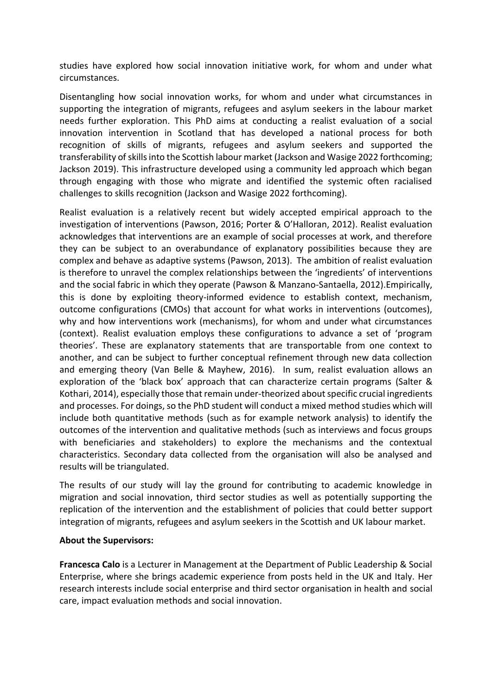studies have explored how social innovation initiative work, for whom and under what circumstances.

Disentangling how social innovation works, for whom and under what circumstances in supporting the integration of migrants, refugees and asylum seekers in the labour market needs further exploration. This PhD aims at conducting a realist evaluation of a social innovation intervention in Scotland that has developed a national process for both recognition of skills of migrants, refugees and asylum seekers and supported the transferability of skills into the Scottish labour market (Jackson and Wasige 2022 forthcoming; Jackson 2019). This infrastructure developed using a community led approach which began through engaging with those who migrate and identified the systemic often racialised challenges to skills recognition (Jackson and Wasige 2022 forthcoming).

Realist evaluation is a relatively recent but widely accepted empirical approach to the investigation of interventions (Pawson, 2016; Porter & O'Halloran, 2012). Realist evaluation acknowledges that interventions are an example of social processes at work, and therefore they can be subject to an overabundance of explanatory possibilities because they are complex and behave as adaptive systems (Pawson, 2013). The ambition of realist evaluation is therefore to unravel the complex relationships between the 'ingredients' of interventions and the social fabric in which they operate (Pawson & Manzano-Santaella, 2012).Empirically, this is done by exploiting theory-informed evidence to establish context, mechanism, outcome configurations (CMOs) that account for what works in interventions (outcomes), why and how interventions work (mechanisms), for whom and under what circumstances (context). Realist evaluation employs these configurations to advance a set of 'program theories'. These are explanatory statements that are transportable from one context to another, and can be subject to further conceptual refinement through new data collection and emerging theory (Van Belle & Mayhew, 2016). In sum, realist evaluation allows an exploration of the 'black box' approach that can characterize certain programs (Salter & Kothari, 2014), especially those that remain under-theorized about specific crucial ingredients and processes. For doings, so the PhD student will conduct a mixed method studies which will include both quantitative methods (such as for example network analysis) to identify the outcomes of the intervention and qualitative methods (such as interviews and focus groups with beneficiaries and stakeholders) to explore the mechanisms and the contextual characteristics. Secondary data collected from the organisation will also be analysed and results will be triangulated.

The results of our study will lay the ground for contributing to academic knowledge in migration and social innovation, third sector studies as well as potentially supporting the replication of the intervention and the establishment of policies that could better support integration of migrants, refugees and asylum seekers in the Scottish and UK labour market.

## **About the Supervisors:**

**Francesca Calo** is a Lecturer in Management at the Department of Public Leadership & Social Enterprise, where she brings academic experience from posts held in the UK and Italy. Her research interests include social enterprise and third sector organisation in health and social care, impact evaluation methods and social innovation.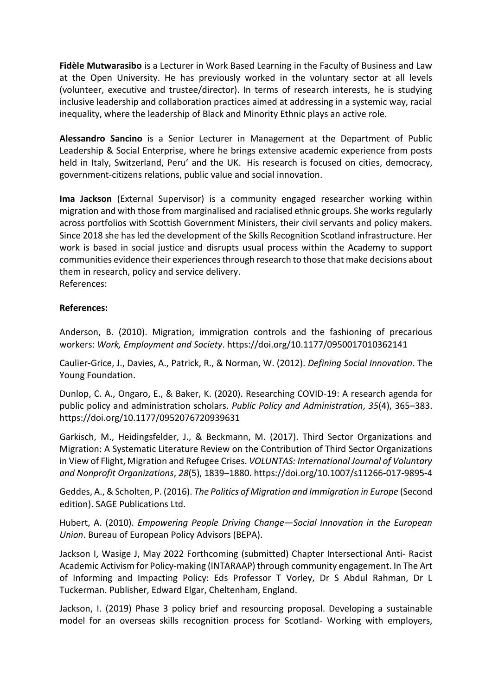**Fidèle Mutwarasibo** is a Lecturer in Work Based Learning in the Faculty of Business and Law at the Open University. He has previously worked in the voluntary sector at all levels (volunteer, executive and trustee/director). In terms of research interests, he is studying inclusive leadership and collaboration practices aimed at addressing in a systemic way, racial inequality, where the leadership of Black and Minority Ethnic plays an active role.

**Alessandro Sancino** is a Senior Lecturer in Management at the Department of Public Leadership & Social Enterprise, where he brings extensive academic experience from posts held in Italy, Switzerland, Peru' and the UK. His research is focused on cities, democracy, government-citizens relations, public value and social innovation.

**Ima Jackson** (External Supervisor) is a community engaged researcher working within migration and with those from marginalised and racialised ethnic groups. She works regularly across portfolios with Scottish Government Ministers, their civil servants and policy makers. Since 2018 she has led the development of the Skills Recognition Scotland infrastructure. Her work is based in social justice and disrupts usual process within the Academy to support communities evidence their experiences through research to those that make decisions about them in research, policy and service delivery. References:

## **References:**

Anderson, B. (2010). Migration, immigration controls and the fashioning of precarious workers: *Work, Employment and Society*. https://doi.org/10.1177/0950017010362141

Caulier-Grice, J., Davies, A., Patrick, R., & Norman, W. (2012). *Defining Social Innovation*. The Young Foundation.

Dunlop, C. A., Ongaro, E., & Baker, K. (2020). Researching COVID-19: A research agenda for public policy and administration scholars. *Public Policy and Administration*, *35*(4), 365–383. https://doi.org/10.1177/0952076720939631

Garkisch, M., Heidingsfelder, J., & Beckmann, M. (2017). Third Sector Organizations and Migration: A Systematic Literature Review on the Contribution of Third Sector Organizations in View of Flight, Migration and Refugee Crises. *VOLUNTAS: International Journal of Voluntary and Nonprofit Organizations*, *28*(5), 1839–1880. https://doi.org/10.1007/s11266-017-9895-4

Geddes, A., & Scholten, P. (2016). *The Politics of Migration and Immigration in Europe* (Second edition). SAGE Publications Ltd.

Hubert, A. (2010). *Empowering People Driving Change—Social Innovation in the European Union*. Bureau of European Policy Advisors (BEPA).

Jackson I, Wasige J, May 2022 Forthcoming (submitted) Chapter Intersectional Anti- Racist Academic Activism for Policy-making (INTARAAP) through community engagement. In The Art of Informing and Impacting Policy: Eds Professor T Vorley, Dr S Abdul Rahman, Dr L Tuckerman. Publisher, Edward Elgar, Cheltenham, England.

Jackson, I. (2019) Phase 3 policy brief and resourcing proposal. Developing a sustainable model for an overseas skills recognition process for Scotland- Working with employers,